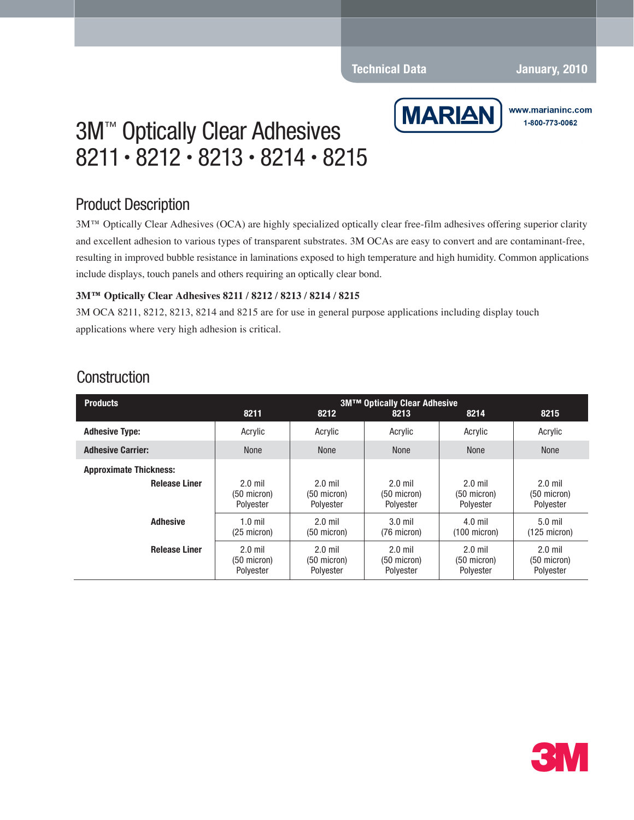#### **Technical Data January, 2010**



www.marianinc.com 1-800-773-0062

# 3M™ Optically Clear Adhesives 8211• 8212 • 8213 • 8214 • 8215

### Product Description

3M™ Optically Clear Adhesives (OCA) are highly specialized optically clear free-film adhesives offering superior clarity and excellent adhesion to various types of transparent substrates. 3M OCAs are easy to convert and are contaminant-free, resulting in improved bubble resistance in laminations exposed to high temperature and high humidity. Common applications include displays, touch panels and others requiring an optically clear bond.

#### **3M™ Optically Clear Adhesives 8211 / 8212 / 8213 / 8214 / 8215**

3M OCA 8211, 8212, 8213, 8214 and 8215 are for use in general purpose applications including display touch applications where very high adhesion is critical.

| <b>Products</b>               | <b>3M™ Optically Clear Adhesive</b>             |                                                 |                                                 |                                         |                                         |  |  |
|-------------------------------|-------------------------------------------------|-------------------------------------------------|-------------------------------------------------|-----------------------------------------|-----------------------------------------|--|--|
|                               | 8211                                            | 8212                                            | 8213                                            | 8214                                    | 8215                                    |  |  |
| <b>Adhesive Type:</b>         | Acrylic                                         | Acrylic                                         | Acrylic                                         | Acrylic                                 | Acrylic                                 |  |  |
| <b>Adhesive Carrier:</b>      | <b>None</b>                                     | None                                            | <b>None</b>                                     | None                                    | None                                    |  |  |
| <b>Approximate Thickness:</b> |                                                 |                                                 |                                                 |                                         |                                         |  |  |
| <b>Release Liner</b>          | $2.0$ mil<br>$(50 \text{ micron})$<br>Polyester | $2.0$ mil<br>$(50 \text{ micron})$<br>Polyester | $2.0$ mil<br>$(50$ micron)<br>Polyester         | $2.0$ mil<br>$(50$ micron)<br>Polyester | $2.0$ mil<br>$(50$ micron)<br>Polvester |  |  |
| <b>Adhesive</b>               | $1.0$ mil<br>$(25 \text{ micron})$              | $2.0$ mil<br>$(50 \text{ micron})$              | $3.0$ mil<br>(76 micron)                        | $4.0$ mil<br>$(100 \text{ micron})$     | $5.0$ mil<br>(125 micron)               |  |  |
| <b>Release Liner</b>          | $2.0$ mil<br>$(50 \text{ micron})$<br>Polyester | $2.0$ mil<br>$(50 \text{ micron})$<br>Polyester | $2.0$ mil<br>$(50 \text{ micron})$<br>Polyester | $2.0$ mil<br>$(50$ micron)<br>Polyester | $2.0$ mil<br>$(50$ micron)<br>Polyester |  |  |

### **Construction**

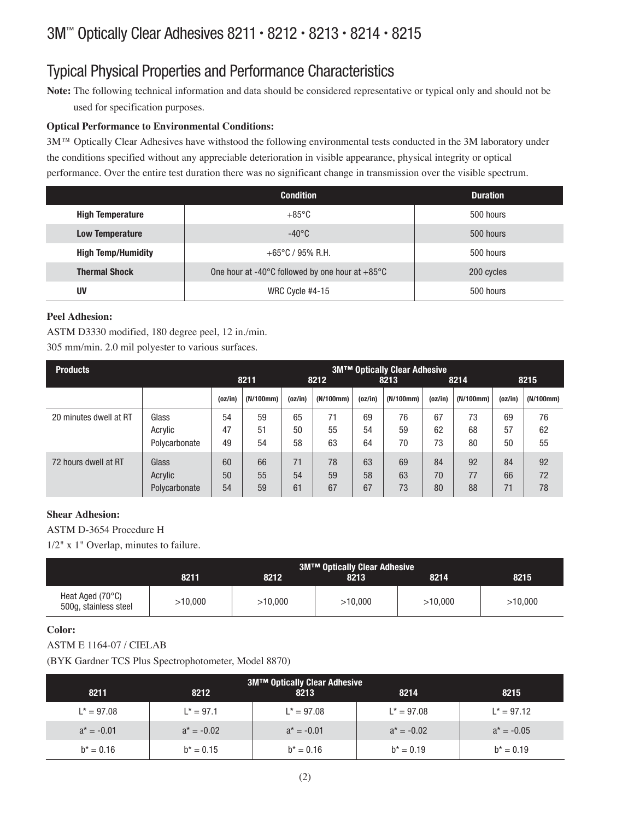## 3M™ Optically Clear Adhesives 8211 • 8212 • 8213 • 8214 • 8215

## Typical Physical Properties and Performance Characteristics

**Note:** The following technical information and data should be considered representative or typical only and should not be used for specification purposes.

#### **Optical Performance to Environmental Conditions:**

3M™ Optically Clear Adhesives have withstood the following environmental tests conducted in the 3M laboratory under the conditions specified without any appreciable deterioration in visible appearance, physical integrity or optical performance. Over the entire test duration there was no significant change in transmission over the visible spectrum.

|                           | <b>Condition</b>                                                    | <b>Duration</b> |
|---------------------------|---------------------------------------------------------------------|-----------------|
| <b>High Temperature</b>   | $+85^{\circ}$ C                                                     | 500 hours       |
| <b>Low Temperature</b>    | $-40^{\circ}$ C                                                     | 500 hours       |
| <b>High Temp/Humidity</b> | $+65^{\circ}$ C / 95% R.H.                                          | 500 hours       |
| <b>Thermal Shock</b>      | One hour at -40 $\degree$ C followed by one hour at +85 $\degree$ C | 200 cycles      |
| UV                        | WRC Cycle #4-15                                                     | 500 hours       |

#### **Peel Adhesion:**

ASTM D3330 modified, 180 degree peel, 12 in./min.

305 mm/min. 2.0 mil polyester to various surfaces.

| <b>Products</b>        |               |         |           | <b>3M™ Optically Clear Adhesive</b> |           |         |           |         |           |         |           |
|------------------------|---------------|---------|-----------|-------------------------------------|-----------|---------|-----------|---------|-----------|---------|-----------|
|                        |               | 8211    |           |                                     | 8212      |         | 8213      |         | 8214      |         | 8215      |
|                        |               | (oz/in) | (N/100mm) | (oz/in)                             | (N/100mm) | (oz/in) | (N/100mm) | (oz/in) | (N/100mm) | (oz/in) | (N/100mm) |
| 20 minutes dwell at RT | Glass         | 54      | 59        | 65                                  | 71        | 69      | 76        | 67      | 73        | 69      | 76        |
|                        | Acrylic       | 47      | 51        | 50                                  | 55        | 54      | 59        | 62      | 68        | 57      | 62        |
|                        | Polycarbonate | 49      | 54        | 58                                  | 63        | 64      | 70        | 73      | 80        | 50      | 55        |
| 72 hours dwell at RT   | Glass         | 60      | 66        | 71                                  | 78        | 63      | 69        | 84      | 92        | 84      | 92        |
|                        | Acrylic       | 50      | 55        | 54                                  | 59        | 58      | 63        | 70      | 77        | 66      | 72        |
|                        | Polycarbonate | 54      | 59        | 61                                  | 67        | 67      | 73        | 80      | 88        | 71      | 78        |

#### **Shear Adhesion:**

ASTM D-3654 Procedure H

1/2" x 1" Overlap, minutes to failure.

|                                                    | <b>3M™ Optically Clear Adhesive</b> |         |         |         |         |  |
|----------------------------------------------------|-------------------------------------|---------|---------|---------|---------|--|
|                                                    | 8211                                | 8212    | 8213    | 8214    | 8215    |  |
| Heat Aged $(70^{\circ}C)$<br>500g, stainless steel | >10.000                             | >10.000 | >10.000 | >10.000 | >10.000 |  |

### **Color:**

### ASTM E 1164-07 / CIELAB

(BYK Gardner TCS Plus Spectrophotometer, Model 8870)

| <b>3M™ Optically Clear Adhesive</b> |               |               |               |               |  |  |
|-------------------------------------|---------------|---------------|---------------|---------------|--|--|
| 8211                                | 8212          | 8213          | 8214          | 8215          |  |  |
| $L^* = 97.08$                       | $L^* = 97.1$  | $L^* = 97.08$ | $L^* = 97.08$ | $L^* = 97.12$ |  |  |
| $a^* = -0.01$                       | $a^* = -0.02$ | $a^* = -0.01$ | $a^* = -0.02$ | $a^* = -0.05$ |  |  |
| $b^* = 0.16$                        | $b^* = 0.15$  | $b^* = 0.16$  | $b^* = 0.19$  | $b^* = 0.19$  |  |  |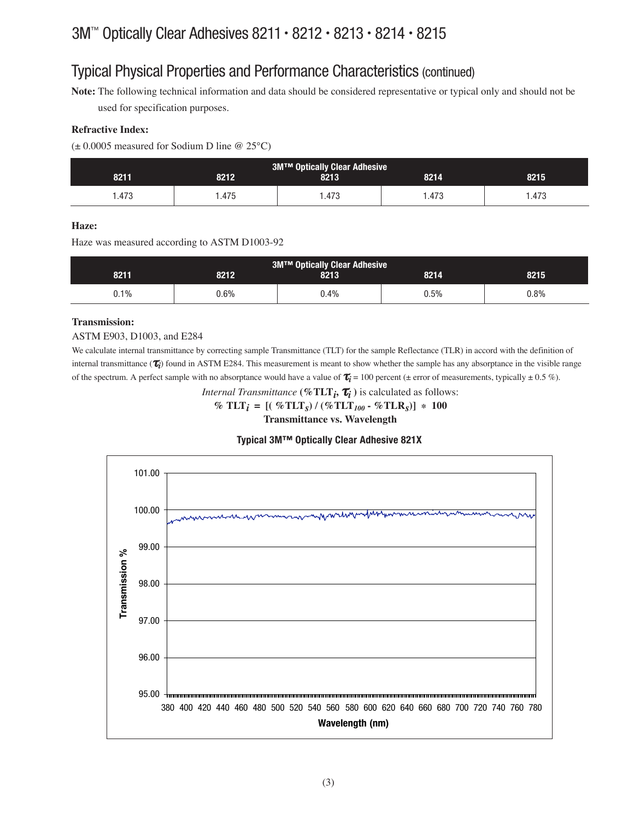### Typical Physical Properties and Performance Characteristics (continued)

**Note:** The following technical information and data should be considered representative or typical only and should not be used for specification purposes.

#### **Refractive Index:**

 $(\pm 0.0005$  measured for Sodium D line @ 25°C)

| <b>3M™ Optically Clear Adhesive</b> |       |       |       |          |  |  |
|-------------------------------------|-------|-------|-------|----------|--|--|
| 8211                                | 8212  | 8213  | 8214  | 8215     |  |  |
| 1.473                               | l.475 | .473، | l.473 | . 473. ، |  |  |

#### **Haze:**

Haze was measured according to ASTM D1003-92

| <b>3M™ Optically Clear Adhesive</b> |         |      |      |         |  |
|-------------------------------------|---------|------|------|---------|--|
| 8211                                | 8212    | 8213 | 8214 | 8215    |  |
| $0.1\%$                             | $0.6\%$ | J.4% | 0.5% | $0.8\%$ |  |

#### **Transmission:**

ASTM E903, D1003, and E284

We calculate internal transmittance by correcting sample Transmittance (TLT) for the sample Reflectance (TLR) in accord with the definition of internal transmittance (τ*i*) found in ASTM E284. This measurement is meant to show whether the sample has any absorptance in the visible range of the spectrum. A perfect sample with no absorptance would have a value of  $\tau_i = 100$  percent ( $\pm$  error of measurements, typically  $\pm$  0.5 %).

*Internal Transmittance* **(%TLT***i***,** τ*i* **)** is calculated as follows:

 $\%$  TLT<sub>*i*</sub> =  $[(\%$ TLT<sub>*s*</sub> $) / (\%$ TLT<sub>*100*</sub> -  $\%$ TLR<sub>*s*</sub> $)]$  \* 100

**Transmittance vs. Wavelength**

#### **Typical 3M™ Optically Clear Adhesive 821X**

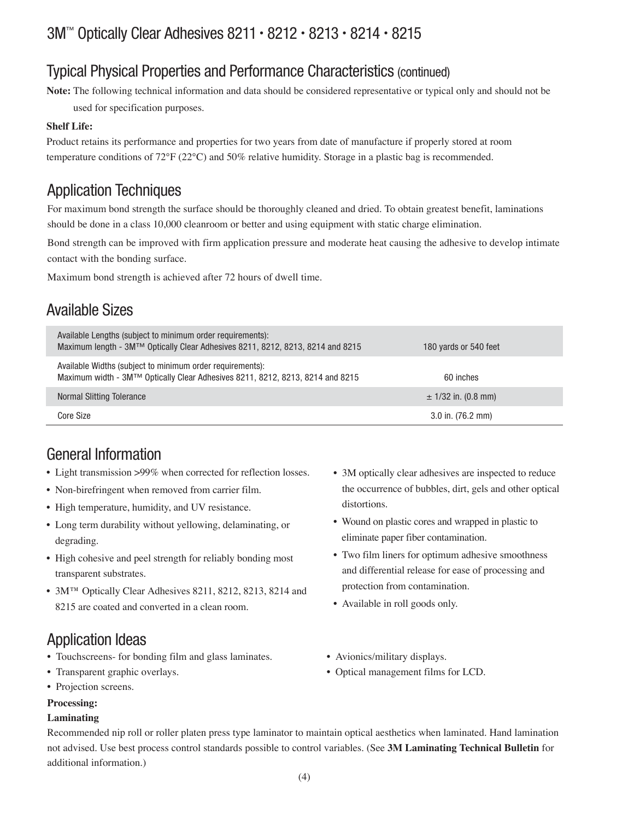### 3M™ Optically Clear Adhesives 8211 • 8212 • 8213 • 8214 • 8215

### Typical Physical Properties and Performance Characteristics (continued)

**Note:** The following technical information and data should be considered representative or typical only and should not be

used for specification purposes.

#### **Shelf Life:**

Product retains its performance and properties for two years from date of manufacture if properly stored at room temperature conditions of 72°F (22°C) and 50% relative humidity. Storage in a plastic bag is recommended.

### Application Techniques

For maximum bond strength the surface should be thoroughly cleaned and dried. To obtain greatest benefit, laminations should be done in a class 10,000 cleanroom or better and using equipment with static charge elimination.

Bond strength can be improved with firm application pressure and moderate heat causing the adhesive to develop intimate contact with the bonding surface.

Maximum bond strength is achieved after 72 hours of dwell time.

### Available Sizes

| Available Lengths (subject to minimum order requirements):<br>Maximum length - 3M™ Optically Clear Adhesives 8211, 8212, 8213, 8214 and 8215 | 180 yards or 540 feet   |
|----------------------------------------------------------------------------------------------------------------------------------------------|-------------------------|
| Available Widths (subject to minimum order requirements):<br>Maximum width - 3M™ Optically Clear Adhesives 8211, 8212, 8213, 8214 and 8215   | 60 inches               |
| Normal Slitting Tolerance                                                                                                                    | $\pm$ 1/32 in. (0.8 mm) |
| Core Size                                                                                                                                    | $3.0$ in. (76.2 mm)     |

### General Information

- Light transmission >99% when corrected for reflection losses.
- Non-birefringent when removed from carrier film.
- High temperature, humidity, and UV resistance.
- Long term durability without yellowing, delaminating, or degrading.
- High cohesive and peel strength for reliably bonding most transparent substrates.
- 3M™ Optically Clear Adhesives 8211, 8212, 8213, 8214 and 8215 are coated and converted in a clean room.

### Application Ideas

- Touchscreens- for bonding film and glass laminates. • Avionics/military displays.
- 
- Projection screens.

#### **Processing:**

#### **Laminating**

- 3M optically clear adhesives are inspected to reduce the occurrence of bubbles, dirt, gels and other optical distortions.
- Wound on plastic cores and wrapped in plastic to eliminate paper fiber contamination.
- Two film liners for optimum adhesive smoothness and differential release for ease of processing and protection from contamination.
- Available in roll goods only.
- 
- Transparent graphic overlays. **•** Optical management films for LCD.

Recommended nip roll or roller platen press type laminator to maintain optical aesthetics when laminated. Hand lamination not advised. Use best process control standards possible to control variables. (See **3M Laminating Technical Bulletin** for additional information.)